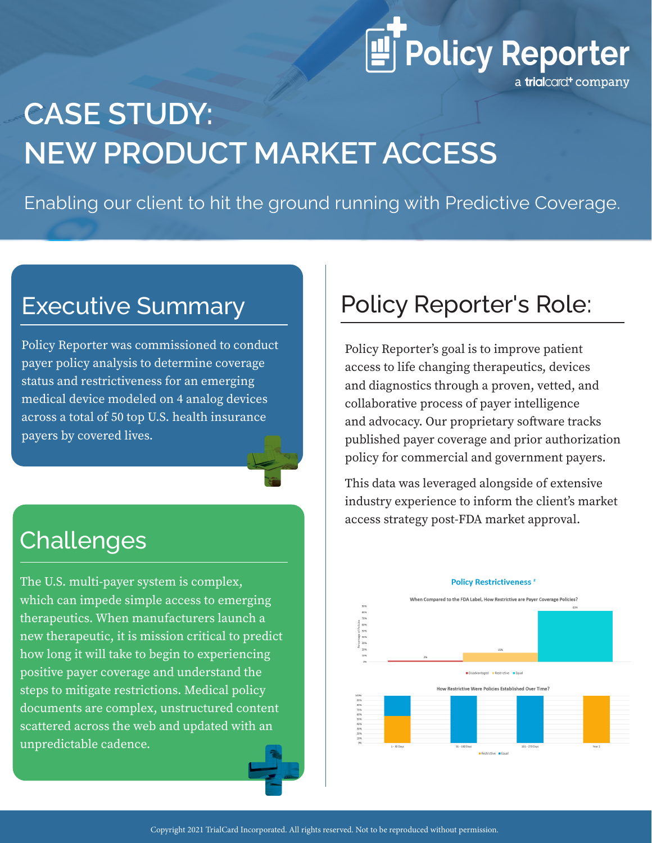# **ET** Policy Reporter

a trialcard<sup>+</sup> company

## **CASE STUDY: NEW PRODUCT MARKET ACCESS**

Enabling our client to hit the ground running with Predictive Coverage.

#### Executive Summary

Policy Reporter was commissioned to conduct payer policy analysis to determine coverage status and restrictiveness for an emerging medical device modeled on 4 analog devices across a total of 50 top U.S. health insurance payers by covered lives.

#### Challenges

The U.S. multi-payer system is complex, which can impede simple access to emerging therapeutics. When manufacturers launch a new therapeutic, it is mission critical to predict how long it will take to begin to experiencing positive payer coverage and understand the steps to mitigate restrictions. Medical policy documents are complex, unstructured content scattered across the web and updated with an unpredictable cadence.

### Policy Reporter's Role:

Policy Reporter's goal is to improve patient access to life changing therapeutics, devices and diagnostics through a proven, vetted, and collaborative process of payer intelligence and advocacy. Our proprietary software tracks published payer coverage and prior authorization policy for commercial and government payers.

This data was leveraged alongside of extensive industry experience to inform the client's market access strategy post-FDA market approval.



#### **Policy Restrictiveness** \*